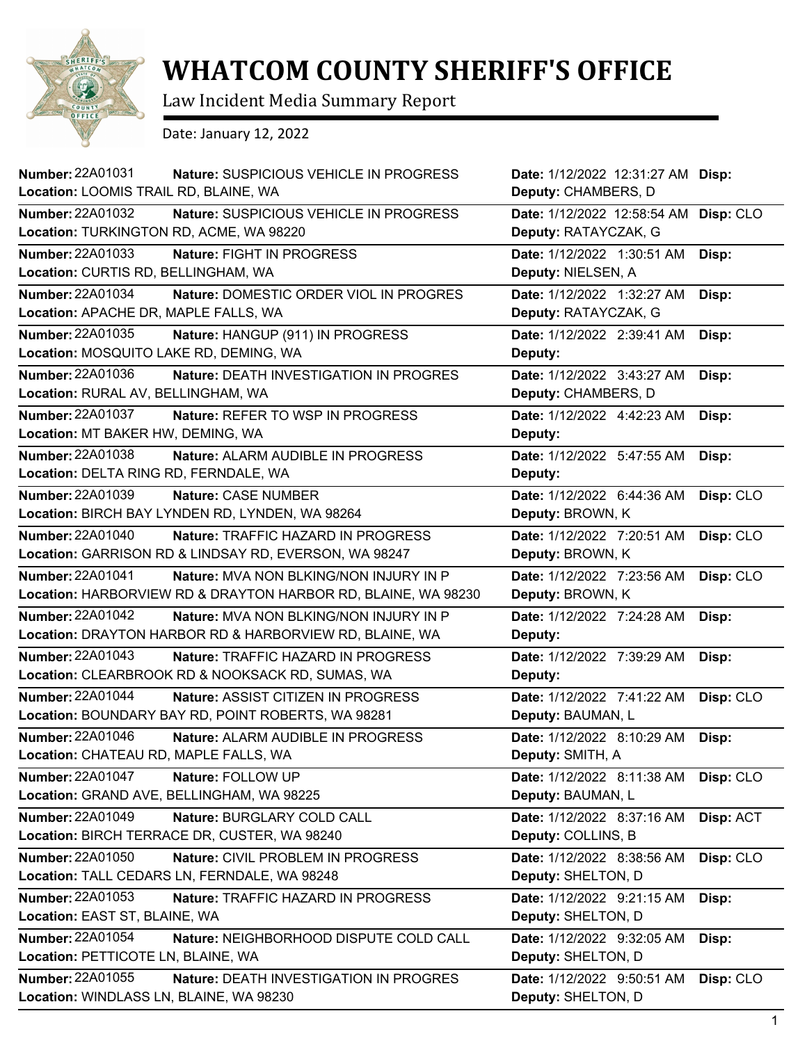

## **WHATCOM COUNTY SHERIFF'S OFFICE**

Law Incident Media Summary Report

Date: January 12, 2022

| Number: 22A01031<br>Location: LOOMIS TRAIL RD, BLAINE, WA          | Nature: SUSPICIOUS VEHICLE IN PROGRESS                                                                   | Date: 1/12/2022 12:31:27 AM Disp:<br>Deputy: CHAMBERS, D |           |
|--------------------------------------------------------------------|----------------------------------------------------------------------------------------------------------|----------------------------------------------------------|-----------|
| <b>Number: 22A01032</b><br>Location: TURKINGTON RD, ACME, WA 98220 | Nature: SUSPICIOUS VEHICLE IN PROGRESS                                                                   | Date: 1/12/2022 12:58:54 AM<br>Deputy: RATAYCZAK, G      | Disp: CLO |
| <b>Number: 22A01033</b><br>Location: CURTIS RD, BELLINGHAM, WA     | Nature: FIGHT IN PROGRESS                                                                                | Date: 1/12/2022 1:30:51 AM<br>Deputy: NIELSEN, A         | Disp:     |
| <b>Number: 22A01034</b><br>Location: APACHE DR, MAPLE FALLS, WA    | Nature: DOMESTIC ORDER VIOL IN PROGRES                                                                   | Date: 1/12/2022 1:32:27 AM<br>Deputy: RATAYCZAK, G       | Disp:     |
| Number: 22A01035<br>Location: MOSQUITO LAKE RD, DEMING, WA         | Nature: HANGUP (911) IN PROGRESS                                                                         | Date: 1/12/2022 2:39:41 AM<br>Deputy:                    | Disp:     |
| Number: 22A01036<br>Location: RURAL AV, BELLINGHAM, WA             | Nature: DEATH INVESTIGATION IN PROGRES                                                                   | Date: 1/12/2022 3:43:27 AM<br>Deputy: CHAMBERS, D        | Disp:     |
| <b>Number: 22A01037</b><br>Location: MT BAKER HW, DEMING, WA       | Nature: REFER TO WSP IN PROGRESS                                                                         | Date: 1/12/2022 4:42:23 AM<br>Deputy:                    | Disp:     |
| Number: 22A01038<br>Location: DELTA RING RD, FERNDALE, WA          | Nature: ALARM AUDIBLE IN PROGRESS                                                                        | Date: 1/12/2022 5:47:55 AM<br>Deputy:                    | Disp:     |
| Number: 22A01039                                                   | Nature: CASE NUMBER<br>Location: BIRCH BAY LYNDEN RD, LYNDEN, WA 98264                                   | Date: 1/12/2022 6:44:36 AM<br>Deputy: BROWN, K           | Disp: CLO |
| Number: 22A01040                                                   | <b>Nature: TRAFFIC HAZARD IN PROGRESS</b><br>Location: GARRISON RD & LINDSAY RD, EVERSON, WA 98247       | Date: 1/12/2022 7:20:51 AM<br>Deputy: BROWN, K           | Disp: CLO |
| Number: 22A01041                                                   | Nature: MVA NON BLKING/NON INJURY IN P<br>Location: HARBORVIEW RD & DRAYTON HARBOR RD, BLAINE, WA 98230  | Date: 1/12/2022 7:23:56 AM<br>Deputy: BROWN, K           | Disp: CLO |
| <b>Number: 22A01042</b>                                            | <b>Nature: MVA NON BLKING/NON INJURY IN P</b><br>Location: DRAYTON HARBOR RD & HARBORVIEW RD, BLAINE, WA | Date: 1/12/2022 7:24:28 AM<br>Deputy:                    | Disp:     |
| Number: 22A01043                                                   | Nature: TRAFFIC HAZARD IN PROGRESS<br>Location: CLEARBROOK RD & NOOKSACK RD, SUMAS, WA                   | Date: 1/12/2022 7:39:29 AM<br>Deputy:                    | Disp:     |
| <b>Number: 22A01044</b>                                            | Nature: ASSIST CITIZEN IN PROGRESS<br>Location: BOUNDARY BAY RD, POINT ROBERTS, WA 98281                 | Date: 1/12/2022 7:41:22 AM<br>Deputy: BAUMAN, L          | Disp: CLO |
| Number: 22A01046<br>Location: CHATEAU RD, MAPLE FALLS, WA          | Nature: ALARM AUDIBLE IN PROGRESS                                                                        | Date: 1/12/2022 8:10:29 AM<br>Deputy: SMITH, A           | Disp:     |
| <b>Number: 22A01047</b>                                            | Nature: FOLLOW UP<br>Location: GRAND AVE, BELLINGHAM, WA 98225                                           | Date: 1/12/2022 8:11:38 AM<br>Deputy: BAUMAN, L          | Disp: CLO |
| Number: 22A01049                                                   | Nature: BURGLARY COLD CALL<br>Location: BIRCH TERRACE DR, CUSTER, WA 98240                               | Date: 1/12/2022 8:37:16 AM<br>Deputy: COLLINS, B         | Disp: ACT |
| Number: 22A01050                                                   | Nature: CIVIL PROBLEM IN PROGRESS<br>Location: TALL CEDARS LN, FERNDALE, WA 98248                        | Date: 1/12/2022 8:38:56 AM<br>Deputy: SHELTON, D         | Disp: CLO |
| Number: 22A01053<br>Location: EAST ST, BLAINE, WA                  | Nature: TRAFFIC HAZARD IN PROGRESS                                                                       | Date: 1/12/2022 9:21:15 AM<br>Deputy: SHELTON, D         | Disp:     |
| Number: 22A01054<br>Location: PETTICOTE LN, BLAINE, WA             | Nature: NEIGHBORHOOD DISPUTE COLD CALL                                                                   | Date: 1/12/2022 9:32:05 AM<br>Deputy: SHELTON, D         | Disp:     |
| <b>Number: 22A01055</b><br>Location: WINDLASS LN, BLAINE, WA 98230 | <b>Nature: DEATH INVESTIGATION IN PROGRES</b>                                                            | Date: 1/12/2022 9:50:51 AM<br>Deputy: SHELTON, D         | Disp: CLO |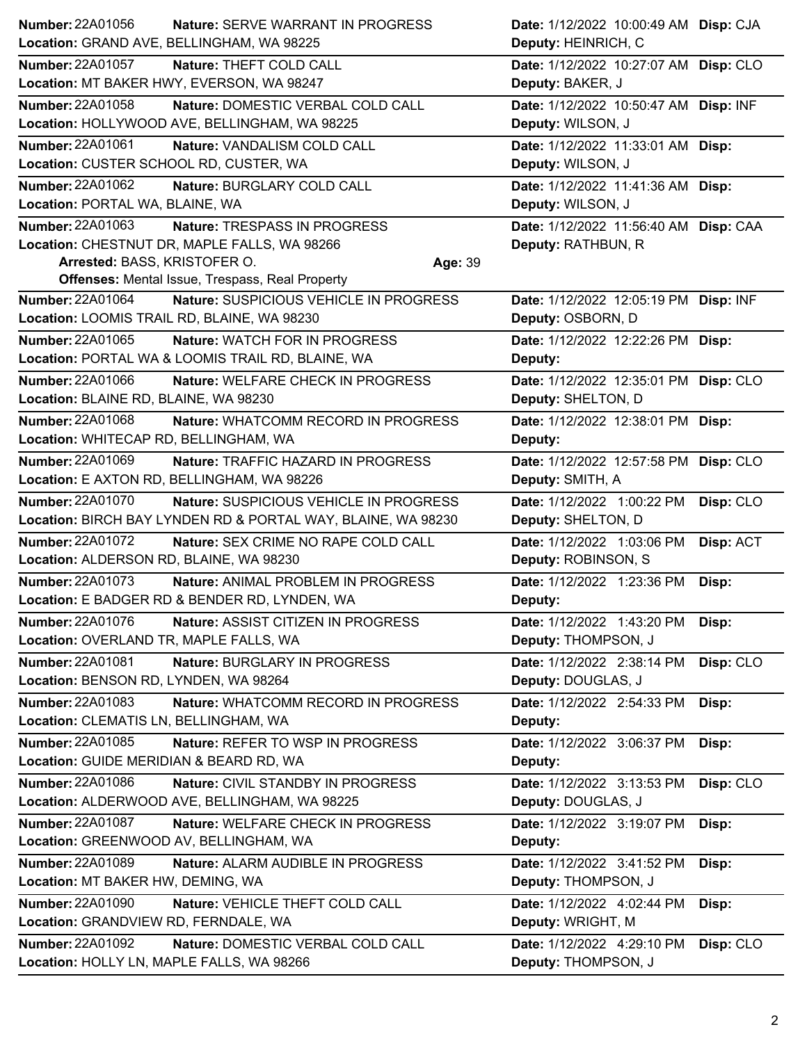| Number: 22A01056                            | <b>Nature: SERVE WARRANT IN PROGRESS</b>                     |         | Date: 1/12/2022 10:00:49 AM Disp: CJA |           |
|---------------------------------------------|--------------------------------------------------------------|---------|---------------------------------------|-----------|
| Location: GRAND AVE, BELLINGHAM, WA 98225   |                                                              |         | Deputy: HEINRICH, C                   |           |
| <b>Number: 22A01057</b>                     | Nature: THEFT COLD CALL                                      |         | Date: 1/12/2022 10:27:07 AM Disp: CLO |           |
|                                             | Location: MT BAKER HWY, EVERSON, WA 98247                    |         | Deputy: BAKER, J                      |           |
| Number: 22A01058                            | Nature: DOMESTIC VERBAL COLD CALL                            |         | Date: 1/12/2022 10:50:47 AM Disp: INF |           |
|                                             | Location: HOLLYWOOD AVE, BELLINGHAM, WA 98225                |         | Deputy: WILSON, J                     |           |
| <b>Number: 22A01061</b>                     | Nature: VANDALISM COLD CALL                                  |         | Date: 1/12/2022 11:33:01 AM Disp:     |           |
| Location: CUSTER SCHOOL RD, CUSTER, WA      |                                                              |         | Deputy: WILSON, J                     |           |
| Number: 22A01062                            | Nature: BURGLARY COLD CALL                                   |         | Date: 1/12/2022 11:41:36 AM Disp:     |           |
| Location: PORTAL WA, BLAINE, WA             |                                                              |         | Deputy: WILSON, J                     |           |
| Number: 22A01063                            | Nature: TRESPASS IN PROGRESS                                 |         | Date: 1/12/2022 11:56:40 AM Disp: CAA |           |
|                                             | Location: CHESTNUT DR, MAPLE FALLS, WA 98266                 |         | Deputy: RATHBUN, R                    |           |
| Arrested: BASS, KRISTOFER O.                |                                                              | Age: 39 |                                       |           |
|                                             | <b>Offenses: Mental Issue, Trespass, Real Property</b>       |         |                                       |           |
| <b>Number: 22A01064</b>                     | Nature: SUSPICIOUS VEHICLE IN PROGRESS                       |         | Date: 1/12/2022 12:05:19 PM Disp: INF |           |
| Location: LOOMIS TRAIL RD, BLAINE, WA 98230 |                                                              |         | Deputy: OSBORN, D                     |           |
| Number: 22A01065                            | Nature: WATCH FOR IN PROGRESS                                |         | Date: 1/12/2022 12:22:26 PM Disp:     |           |
|                                             | Location: PORTAL WA & LOOMIS TRAIL RD, BLAINE, WA            |         | Deputy:                               |           |
| <b>Number: 22A01066</b>                     | Nature: WELFARE CHECK IN PROGRESS                            |         | Date: 1/12/2022 12:35:01 PM Disp: CLO |           |
| Location: BLAINE RD, BLAINE, WA 98230       |                                                              |         | Deputy: SHELTON, D                    |           |
| <b>Number: 22A01068</b>                     | Nature: WHATCOMM RECORD IN PROGRESS                          |         | Date: 1/12/2022 12:38:01 PM Disp:     |           |
| Location: WHITECAP RD, BELLINGHAM, WA       |                                                              |         | Deputy:                               |           |
| <b>Number: 22A01069</b>                     | Nature: TRAFFIC HAZARD IN PROGRESS                           |         | Date: 1/12/2022 12:57:58 PM Disp: CLO |           |
|                                             | Location: E AXTON RD, BELLINGHAM, WA 98226                   |         | Deputy: SMITH, A                      |           |
| Number: 22A01070                            | Nature: SUSPICIOUS VEHICLE IN PROGRESS                       |         | Date: 1/12/2022 1:00:22 PM            | Disp: CLO |
|                                             | Location: BIRCH BAY LYNDEN RD & PORTAL WAY, BLAINE, WA 98230 |         | Deputy: SHELTON, D                    |           |
| Number: 22A01072                            | Nature: SEX CRIME NO RAPE COLD CALL                          |         | Date: 1/12/2022 1:03:06 PM            | Disp: ACT |
| Location: ALDERSON RD, BLAINE, WA 98230     |                                                              |         | Deputy: ROBINSON, S                   |           |
| Number: 22A01073                            | Nature: ANIMAL PROBLEM IN PROGRESS                           |         | Date: 1/12/2022 1:23:36 PM            | Disp:     |
|                                             | Location: E BADGER RD & BENDER RD, LYNDEN, WA                |         | Deputy:                               |           |
| Number: 22A01076                            | Nature: ASSIST CITIZEN IN PROGRESS                           |         | Date: 1/12/2022 1:43:20 PM            | Disp:     |
| Location: OVERLAND TR, MAPLE FALLS, WA      |                                                              |         | Deputy: THOMPSON, J                   |           |
| Number: 22A01081                            | Nature: BURGLARY IN PROGRESS                                 |         | Date: 1/12/2022 2:38:14 PM            | Disp: CLO |
| Location: BENSON RD, LYNDEN, WA 98264       |                                                              |         | Deputy: DOUGLAS, J                    |           |
| Number: 22A01083                            | Nature: WHATCOMM RECORD IN PROGRESS                          |         | Date: 1/12/2022 2:54:33 PM            | Disp:     |
| Location: CLEMATIS LN, BELLINGHAM, WA       |                                                              |         | Deputy:                               |           |
| Number: 22A01085                            | Nature: REFER TO WSP IN PROGRESS                             |         | Date: 1/12/2022 3:06:37 PM            | Disp:     |
| Location: GUIDE MERIDIAN & BEARD RD, WA     |                                                              |         | Deputy:                               |           |
| Number: 22A01086                            | Nature: CIVIL STANDBY IN PROGRESS                            |         | Date: 1/12/2022 3:13:53 PM            | Disp: CLO |
|                                             | Location: ALDERWOOD AVE, BELLINGHAM, WA 98225                |         | Deputy: DOUGLAS, J                    |           |
| <b>Number: 22A01087</b>                     | Nature: WELFARE CHECK IN PROGRESS                            |         | Date: 1/12/2022 3:19:07 PM            | Disp:     |
| Location: GREENWOOD AV, BELLINGHAM, WA      |                                                              |         | Deputy:                               |           |
| Number: 22A01089                            | Nature: ALARM AUDIBLE IN PROGRESS                            |         | Date: 1/12/2022 3:41:52 PM            | Disp:     |
| Location: MT BAKER HW, DEMING, WA           |                                                              |         | Deputy: THOMPSON, J                   |           |
| Number: 22A01090                            | Nature: VEHICLE THEFT COLD CALL                              |         | Date: 1/12/2022 4:02:44 PM            | Disp:     |
| Location: GRANDVIEW RD, FERNDALE, WA        |                                                              |         | Deputy: WRIGHT, M                     |           |
| <b>Number: 22A01092</b>                     | Nature: DOMESTIC VERBAL COLD CALL                            |         | Date: 1/12/2022 4:29:10 PM            | Disp: CLO |
| Location: HOLLY LN, MAPLE FALLS, WA 98266   |                                                              |         | Deputy: THOMPSON, J                   |           |